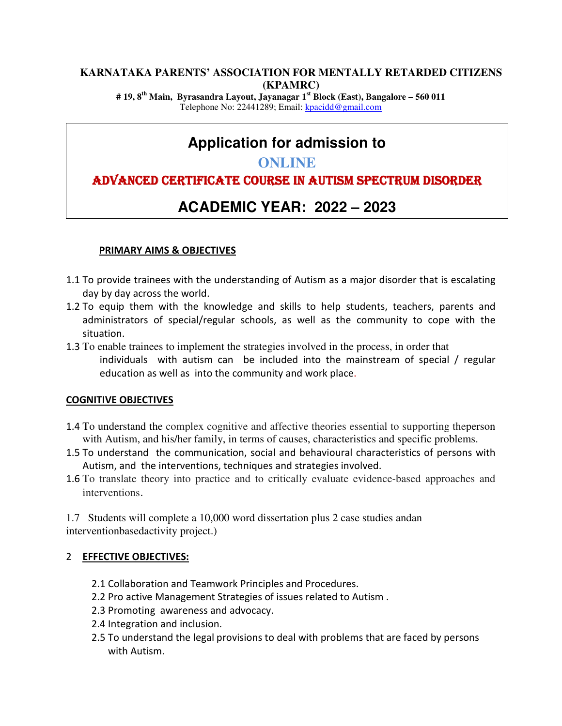#### **KARNATAKA PARENTS' ASSOCIATION FOR MENTALLY RETARDED CITIZENS (KPAMRC)**

**# 19, 8th Main, Byrasandra Layout, Jayanagar 1st Block (East), Bangalore – 560 011**  Telephone No: 22441289; Email: kpacidd@gmail.com

# **Application for admission to**

## **ONLINE**

## ADVANCED CERTIFICATE COURSE IN AUTISM SPECTRUM DISORDER

# **ACADEMIC YEAR: 2022 – 2023**

#### **PRIMARY AIMS & OBJECTIVES**

- 1.1 To provide trainees with the understanding of Autism as a major disorder that is escalating day by day across the world.
- 1.2 To equip them with the knowledge and skills to help students, teachers, parents and administrators of special/regular schools, as well as the community to cope with the situation.
- 1.3 To enable trainees to implement the strategies involved in the process, in order that individuals with autism can be included into the mainstream of special / regular education as well as into the community and work place.

#### **COGNITIVE OBJECTIVES**

- 1.4 To understand the complex cognitive and affective theories essential to supporting theperson with Autism, and his/her family, in terms of causes, characteristics and specific problems.
- 1.5 To understand the communication, social and behavioural characteristics of persons with Autism, and the interventions, techniques and strategies involved.
- 1.6 To translate theory into practice and to critically evaluate evidence-based approaches and interventions.

1.7 Students will complete a 10,000 word dissertation plus 2 case studies andan interventionbasedactivity project.)

#### 2 **EFFECTIVE OBJECTIVES:**

- 2.1 Collaboration and Teamwork Principles and Procedures.
- 2.2 Pro active Management Strategies of issues related to Autism .
- 2.3 Promoting awareness and advocacy.
- 2.4 Integration and inclusion.
- 2.5 To understand the legal provisions to deal with problems that are faced by persons with Autism.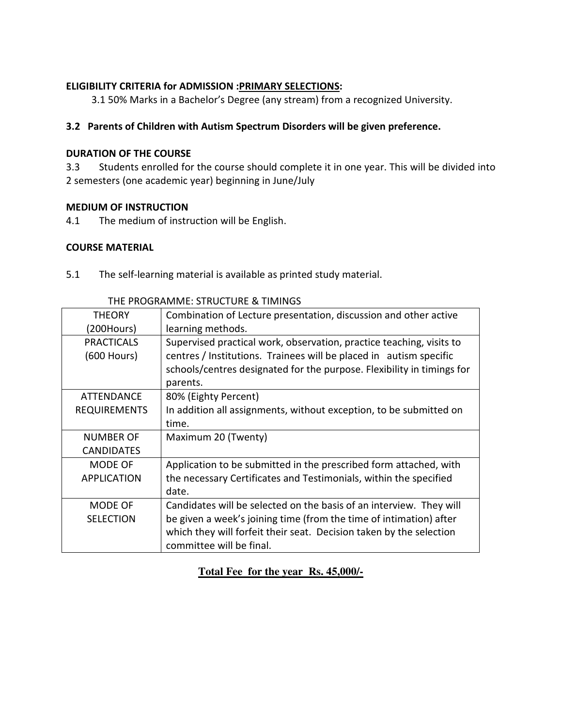#### **ELIGIBILITY CRITERIA for ADMISSION :PRIMARY SELECTIONS:**

3.1 50% Marks in a Bachelor's Degree (any stream) from a recognized University.

#### **3.2 Parents of Children with Autism Spectrum Disorders will be given preference.**

#### **DURATION OF THE COURSE**

3.3 Students enrolled for the course should complete it in one year. This will be divided into 2 semesters (one academic year) beginning in June/July

#### **MEDIUM OF INSTRUCTION**

4.1 The medium of instruction will be English.

#### **COURSE MATERIAL**

5.1 The self-learning material is available as printed study material.

| <b>THEORY</b>       | Combination of Lecture presentation, discussion and other active       |
|---------------------|------------------------------------------------------------------------|
| (200Hours)          | learning methods.                                                      |
| <b>PRACTICALS</b>   | Supervised practical work, observation, practice teaching, visits to   |
| (600 Hours)         | centres / Institutions. Trainees will be placed in autism specific     |
|                     | schools/centres designated for the purpose. Flexibility in timings for |
|                     | parents.                                                               |
| ATTENDANCE          | 80% (Eighty Percent)                                                   |
| <b>REQUIREMENTS</b> | In addition all assignments, without exception, to be submitted on     |
|                     | time.                                                                  |
| <b>NUMBER OF</b>    | Maximum 20 (Twenty)                                                    |
| <b>CANDIDATES</b>   |                                                                        |
| MODE OF             | Application to be submitted in the prescribed form attached, with      |
| <b>APPLICATION</b>  | the necessary Certificates and Testimonials, within the specified      |
|                     | date.                                                                  |
| MODE OF             | Candidates will be selected on the basis of an interview. They will    |
| <b>SELECTION</b>    | be given a week's joining time (from the time of intimation) after     |
|                     | which they will forfeit their seat. Decision taken by the selection    |
|                     | committee will be final.                                               |

#### THE PROGRAMME: STRUCTURE & TIMINGS

## **Total Fee for the year Rs. 45,000/-**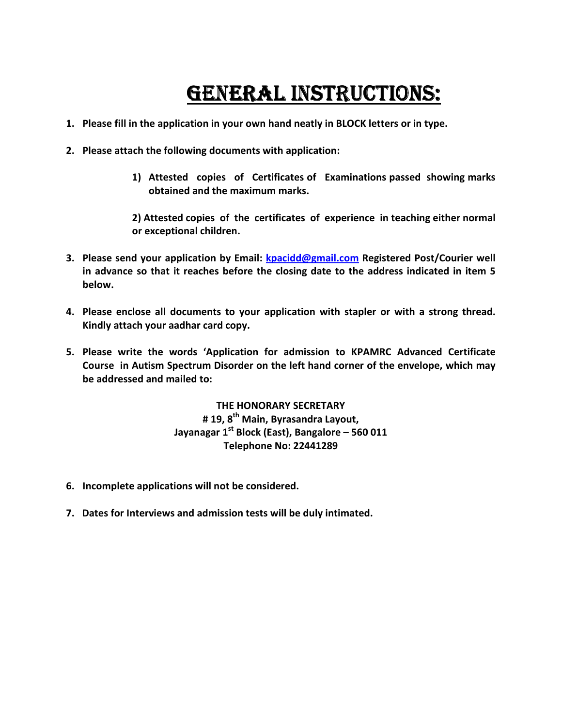# GENERAL INSTRUCTIONS:

- **1. Please fill in the application in your own hand neatly in BLOCK letters or in type.**
- **2. Please attach the following documents with application:** 
	- **1) Attested copies of Certificates of Examinations passed showing marks obtained and the maximum marks.**

**2) Attested copies of the certificates of experience in teaching either normal or exceptional children.** 

- **3. Please send your application by Email: kpacidd@gmail.com Registered Post/Courier well in advance so that it reaches before the closing date to the address indicated in item 5 below.**
- **4. Please enclose all documents to your application with stapler or with a strong thread. Kindly attach your aadhar card copy.**
- **5. Please write the words 'Application for admission to KPAMRC Advanced Certificate Course in Autism Spectrum Disorder on the left hand corner of the envelope, which may be addressed and mailed to:**

**THE HONORARY SECRETARY # 19, 8th Main, Byrasandra Layout, Jayanagar 1st Block (East), Bangalore – 560 011 Telephone No: 22441289** 

- **6. Incomplete applications will not be considered.**
- **7. Dates for Interviews and admission tests will be duly intimated.**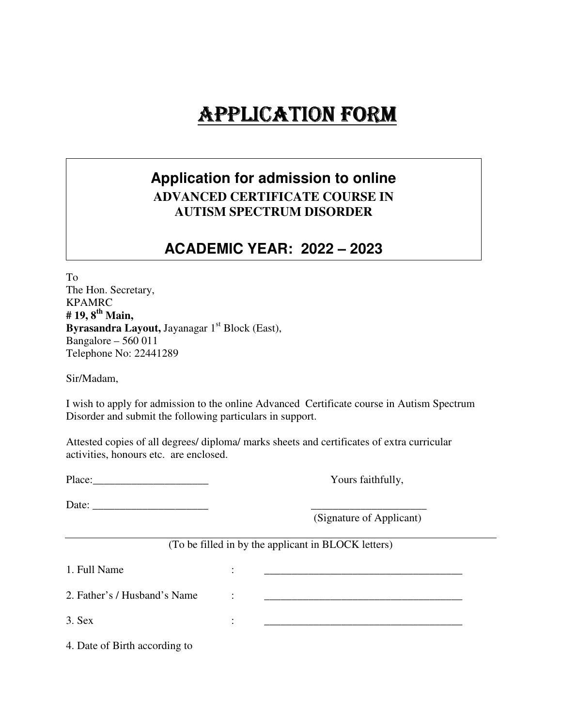# APPLICATION FORM

# **Application for admission to online ADVANCED CERTIFICATE COURSE IN AUTISM SPECTRUM DISORDER**

# **ACADEMIC YEAR: 2022 – 2023**

To The Hon. Secretary, KPAMRC **# 19, 8th Main,**  Byrasandra Layout, Jayanagar 1<sup>st</sup> Block (East), Bangalore – 560 011 Telephone No: 22441289

Sir/Madam,

I wish to apply for admission to the online Advanced Certificate course in Autism Spectrum Disorder and submit the following particulars in support.

Attested copies of all degrees/ diploma/ marks sheets and certificates of extra curricular activities, honours etc. are enclosed.

Place: Yours faithfully,

Date:

(Signature of Applicant)

#### (To be filled in by the applicant in BLOCK letters)

 $1.$  Full Name  $\qquad \qquad :$ 

2. Father's / Husband's Name  $\cdot$ :

 $3.$  Sex  $\qquad \qquad : \qquad \qquad \qquad$ 

4. Date of Birth according to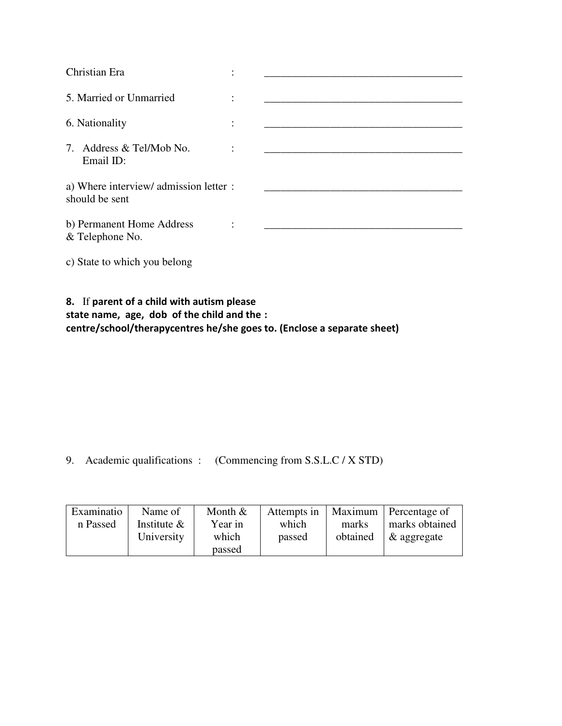| Christian Era                                            |           |  |
|----------------------------------------------------------|-----------|--|
| 5. Married or Unmarried                                  | $\bullet$ |  |
| 6. Nationality                                           | $\bullet$ |  |
| 7. Address & Tel/Mob No.<br>Email ID:                    |           |  |
| a) Where interview/ admission letter :<br>should be sent |           |  |
| b) Permanent Home Address<br>& Telephone No.             |           |  |
| c) State to which you belong                             |           |  |

## **8.** If **parent of a child with autism please state name, age, dob of the child and the : centre/school/therapycentres he/she goes to. (Enclose a separate sheet)**

9. Academic qualifications : (Commencing from S.S.L.C / X STD)

| Examinatio | Name of        | Month $&$ | Attempts in |          | Maximum   Percentage of |
|------------|----------------|-----------|-------------|----------|-------------------------|
| n Passed   | Institute $\&$ | Year in   | which       | marks    | marks obtained          |
|            | University     | which     | passed      | obtained | $\&$ aggregate          |
|            |                | passed    |             |          |                         |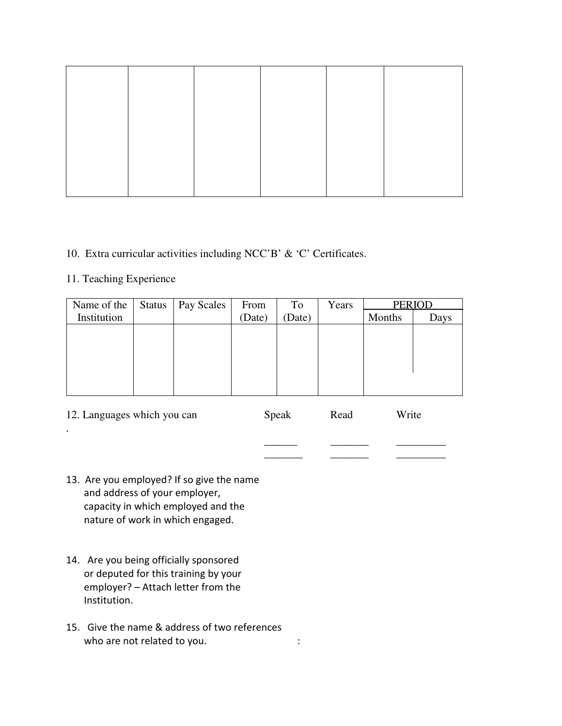### 10. Extra curricular activities including NCC'B' & 'C' Certificates.

## 11. Teaching Experience

| Name of the | Status | Pay Scales | From   | To     | Years | <b>PERIOD</b> |      |
|-------------|--------|------------|--------|--------|-------|---------------|------|
| Institution |        |            | (Date) | (Date) |       | Months        | Days |
|             |        |            |        |        |       |               |      |
|             |        |            |        |        |       |               |      |
|             |        |            |        |        |       |               |      |
|             |        |            |        |        |       |               |      |
|             |        |            |        |        |       |               |      |
|             |        |            |        |        |       |               |      |

| 12. Languages which you can | Speak | Read | Write |
|-----------------------------|-------|------|-------|
|                             |       |      |       |
|                             |       |      |       |

\_\_\_\_\_\_\_ \_\_\_\_\_\_\_ \_\_\_\_\_\_\_\_\_

- 13. Are you employed? If so give the name and address of your employer, capacity in which employed and the nature of work in which engaged.
- 14. Are you being officially sponsored or deputed for this training by your employer? – Attach letter from the Institution.
- 15. Give the name & address of two references who are not related to you.  $\cdot$  :